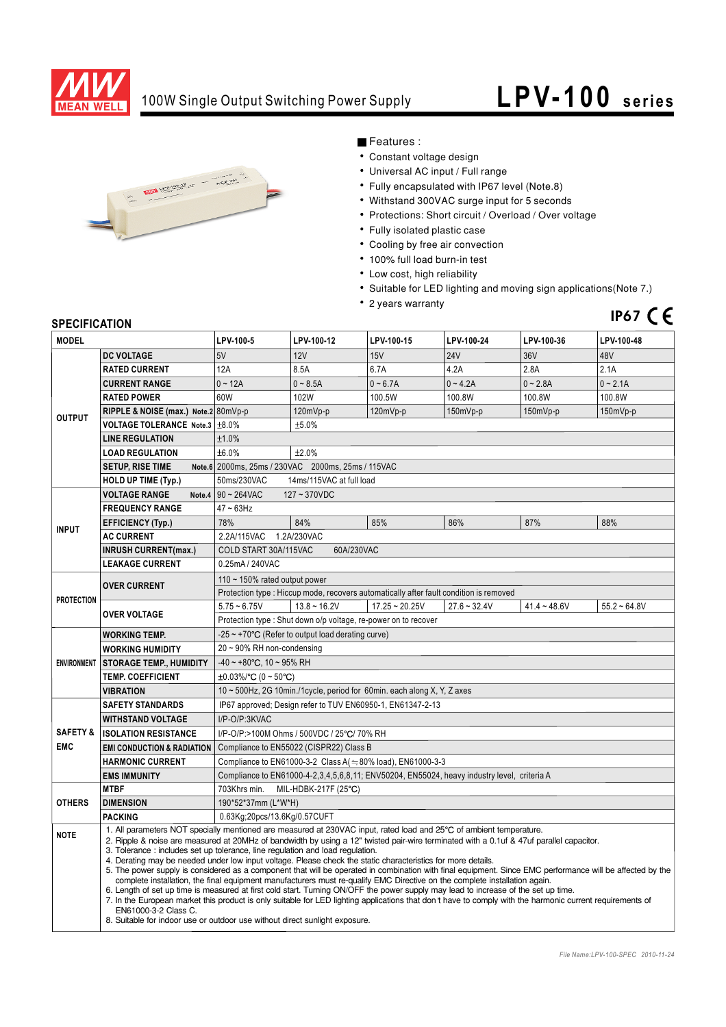

### 100W Single Output Switching Power Supply

# **LPV- 100 series**



Features :

- Constant voltage design
- Universal AC input / Full range
- Fully encapsulated with IP67 level (Note.8)
- Withstand 300VAC surge input for 5 seconds
- Protections: Short circuit / Overload / Over voltage
- Fully isolated plastic case
- Cooling by free air convection
- 100% full load burn-in test
- Low cost, high reliability
- Suitable for LED lighting and moving sign applications(Note 7.)
- 2 years warranty

## **IP67**

#### **SPECIFICATION**

| <b>MODEL</b>                      |                                                                                                                                                                                                                                                                                                                                                                                                                                                                                                                                                                                                                                                                                                                                                                                                                                                                                                                                                                                                                                                                                                                                                                       | LPV-100-5                                                                                   | LPV-100-12                                                     | LPV-100-15       | LPV-100-24     | LPV-100-36     | LPV-100-48     |  |
|-----------------------------------|-----------------------------------------------------------------------------------------------------------------------------------------------------------------------------------------------------------------------------------------------------------------------------------------------------------------------------------------------------------------------------------------------------------------------------------------------------------------------------------------------------------------------------------------------------------------------------------------------------------------------------------------------------------------------------------------------------------------------------------------------------------------------------------------------------------------------------------------------------------------------------------------------------------------------------------------------------------------------------------------------------------------------------------------------------------------------------------------------------------------------------------------------------------------------|---------------------------------------------------------------------------------------------|----------------------------------------------------------------|------------------|----------------|----------------|----------------|--|
|                                   | <b>DC VOLTAGE</b>                                                                                                                                                                                                                                                                                                                                                                                                                                                                                                                                                                                                                                                                                                                                                                                                                                                                                                                                                                                                                                                                                                                                                     | 5V                                                                                          | 12V                                                            | <b>15V</b>       | <b>24V</b>     | 36V            | 48V            |  |
| <b>OUTPUT</b>                     | <b>RATED CURRENT</b>                                                                                                                                                                                                                                                                                                                                                                                                                                                                                                                                                                                                                                                                                                                                                                                                                                                                                                                                                                                                                                                                                                                                                  | 12A                                                                                         | 8.5A                                                           | 6.7A             | 4.2A           | 2.8A           | 2.1A           |  |
|                                   | <b>CURRENT RANGE</b>                                                                                                                                                                                                                                                                                                                                                                                                                                                                                                                                                                                                                                                                                                                                                                                                                                                                                                                                                                                                                                                                                                                                                  | $0 - 12A$                                                                                   | $0 - 8.5A$                                                     | $0 - 6.7A$       | $0 - 4.2A$     | $0 - 2.8A$     | $0 - 2.1A$     |  |
|                                   | <b>RATED POWER</b>                                                                                                                                                                                                                                                                                                                                                                                                                                                                                                                                                                                                                                                                                                                                                                                                                                                                                                                                                                                                                                                                                                                                                    | 60W                                                                                         | 102W                                                           | 100.5W           | 100.8W         | 100.8W         | 100.8W         |  |
|                                   | RIPPLE & NOISE (max.) Note.2 80mVp-p                                                                                                                                                                                                                                                                                                                                                                                                                                                                                                                                                                                                                                                                                                                                                                                                                                                                                                                                                                                                                                                                                                                                  |                                                                                             | 120mVp-p                                                       | 120mVp-p         | 150mVp-p       | 150mVp-p       | 150mVp-p       |  |
|                                   | VOLTAGE TOLERANCE Note.3 ±8.0%                                                                                                                                                                                                                                                                                                                                                                                                                                                                                                                                                                                                                                                                                                                                                                                                                                                                                                                                                                                                                                                                                                                                        |                                                                                             | ±5.0%                                                          |                  |                |                |                |  |
|                                   | <b>LINE REGULATION</b>                                                                                                                                                                                                                                                                                                                                                                                                                                                                                                                                                                                                                                                                                                                                                                                                                                                                                                                                                                                                                                                                                                                                                |                                                                                             | ±1.0%                                                          |                  |                |                |                |  |
|                                   | <b>LOAD REGULATION</b>                                                                                                                                                                                                                                                                                                                                                                                                                                                                                                                                                                                                                                                                                                                                                                                                                                                                                                                                                                                                                                                                                                                                                | ±6.0%<br>±2.0%                                                                              |                                                                |                  |                |                |                |  |
|                                   | <b>SETUP, RISE TIME</b>                                                                                                                                                                                                                                                                                                                                                                                                                                                                                                                                                                                                                                                                                                                                                                                                                                                                                                                                                                                                                                                                                                                                               | Note.6 2000ms, 25ms / 230VAC 2000ms, 25ms / 115VAC                                          |                                                                |                  |                |                |                |  |
|                                   | <b>HOLD UP TIME (Typ.)</b>                                                                                                                                                                                                                                                                                                                                                                                                                                                                                                                                                                                                                                                                                                                                                                                                                                                                                                                                                                                                                                                                                                                                            | 50ms/230VAC<br>14ms/115VAC at full load                                                     |                                                                |                  |                |                |                |  |
|                                   | <b>VOLTAGE RANGE</b>                                                                                                                                                                                                                                                                                                                                                                                                                                                                                                                                                                                                                                                                                                                                                                                                                                                                                                                                                                                                                                                                                                                                                  | Note.4 $90 - 264$ VAC<br>127~370VDC                                                         |                                                                |                  |                |                |                |  |
| <b>INPUT</b>                      | <b>FREQUENCY RANGE</b>                                                                                                                                                                                                                                                                                                                                                                                                                                                                                                                                                                                                                                                                                                                                                                                                                                                                                                                                                                                                                                                                                                                                                | $47 - 63$ Hz                                                                                |                                                                |                  |                |                |                |  |
|                                   | <b>EFFICIENCY (Typ.)</b>                                                                                                                                                                                                                                                                                                                                                                                                                                                                                                                                                                                                                                                                                                                                                                                                                                                                                                                                                                                                                                                                                                                                              | 78%                                                                                         | 84%                                                            | 85%              | 86%            | 87%            | 88%            |  |
|                                   | <b>AC CURRENT</b>                                                                                                                                                                                                                                                                                                                                                                                                                                                                                                                                                                                                                                                                                                                                                                                                                                                                                                                                                                                                                                                                                                                                                     | 2.2A/115VAC<br>1.2A/230VAC                                                                  |                                                                |                  |                |                |                |  |
|                                   | <b>INRUSH CURRENT(max.)</b>                                                                                                                                                                                                                                                                                                                                                                                                                                                                                                                                                                                                                                                                                                                                                                                                                                                                                                                                                                                                                                                                                                                                           | COLD START 30A/115VAC<br>60A/230VAC                                                         |                                                                |                  |                |                |                |  |
|                                   | <b>LEAKAGE CURRENT</b>                                                                                                                                                                                                                                                                                                                                                                                                                                                                                                                                                                                                                                                                                                                                                                                                                                                                                                                                                                                                                                                                                                                                                | 0.25mA / 240VAC                                                                             |                                                                |                  |                |                |                |  |
| <b>PROTECTION</b>                 | <b>OVER CURRENT</b>                                                                                                                                                                                                                                                                                                                                                                                                                                                                                                                                                                                                                                                                                                                                                                                                                                                                                                                                                                                                                                                                                                                                                   | 110 $\sim$ 150% rated output power                                                          |                                                                |                  |                |                |                |  |
|                                   |                                                                                                                                                                                                                                                                                                                                                                                                                                                                                                                                                                                                                                                                                                                                                                                                                                                                                                                                                                                                                                                                                                                                                                       | Protection type : Hiccup mode, recovers automatically after fault condition is removed      |                                                                |                  |                |                |                |  |
|                                   | <b>OVER VOLTAGE</b>                                                                                                                                                                                                                                                                                                                                                                                                                                                                                                                                                                                                                                                                                                                                                                                                                                                                                                                                                                                                                                                                                                                                                   | $5.75 - 6.75V$                                                                              | $13.8 - 16.2V$                                                 | $17.25 - 20.25V$ | $27.6 - 32.4V$ | $41.4 - 48.6V$ | $55.2 - 64.8V$ |  |
|                                   |                                                                                                                                                                                                                                                                                                                                                                                                                                                                                                                                                                                                                                                                                                                                                                                                                                                                                                                                                                                                                                                                                                                                                                       |                                                                                             | Protection type: Shut down o/p voltage, re-power on to recover |                  |                |                |                |  |
| <b>ENVIRONMENT</b>                | <b>WORKING TEMP.</b>                                                                                                                                                                                                                                                                                                                                                                                                                                                                                                                                                                                                                                                                                                                                                                                                                                                                                                                                                                                                                                                                                                                                                  | -25 $\sim$ +70 $\rm{°C}$ (Refer to output load derating curve)                              |                                                                |                  |                |                |                |  |
|                                   | <b>WORKING HUMIDITY</b>                                                                                                                                                                                                                                                                                                                                                                                                                                                                                                                                                                                                                                                                                                                                                                                                                                                                                                                                                                                                                                                                                                                                               | 20~90% RH non-condensing                                                                    |                                                                |                  |                |                |                |  |
|                                   | <b>STORAGE TEMP., HUMIDITY</b>                                                                                                                                                                                                                                                                                                                                                                                                                                                                                                                                                                                                                                                                                                                                                                                                                                                                                                                                                                                                                                                                                                                                        | $-40 \sim +80^{\circ}$ C, 10 ~ 95% RH                                                       |                                                                |                  |                |                |                |  |
|                                   | <b>TEMP. COEFFICIENT</b>                                                                                                                                                                                                                                                                                                                                                                                                                                                                                                                                                                                                                                                                                                                                                                                                                                                                                                                                                                                                                                                                                                                                              | $\pm 0.03\%$ /°C (0 ~ 50°C)                                                                 |                                                                |                  |                |                |                |  |
|                                   | <b>VIBRATION</b>                                                                                                                                                                                                                                                                                                                                                                                                                                                                                                                                                                                                                                                                                                                                                                                                                                                                                                                                                                                                                                                                                                                                                      | 10 ~ 500Hz, 2G 10min./1cycle, period for 60min. each along X, Y, Z axes                     |                                                                |                  |                |                |                |  |
| <b>SAFETY &amp;</b><br><b>EMC</b> | <b>SAFETY STANDARDS</b>                                                                                                                                                                                                                                                                                                                                                                                                                                                                                                                                                                                                                                                                                                                                                                                                                                                                                                                                                                                                                                                                                                                                               | IP67 approved; Design refer to TUV EN60950-1, EN61347-2-13                                  |                                                                |                  |                |                |                |  |
|                                   | <b>WITHSTAND VOLTAGE</b>                                                                                                                                                                                                                                                                                                                                                                                                                                                                                                                                                                                                                                                                                                                                                                                                                                                                                                                                                                                                                                                                                                                                              | I/P-O/P:3KVAC                                                                               |                                                                |                  |                |                |                |  |
|                                   | <b>ISOLATION RESISTANCE</b>                                                                                                                                                                                                                                                                                                                                                                                                                                                                                                                                                                                                                                                                                                                                                                                                                                                                                                                                                                                                                                                                                                                                           | I/P-O/P:>100M Ohms / 500VDC / 25°C/ 70% RH                                                  |                                                                |                  |                |                |                |  |
|                                   | <b>EMI CONDUCTION &amp; RADIATION</b>                                                                                                                                                                                                                                                                                                                                                                                                                                                                                                                                                                                                                                                                                                                                                                                                                                                                                                                                                                                                                                                                                                                                 | Compliance to EN55022 (CISPR22) Class B                                                     |                                                                |                  |                |                |                |  |
|                                   | <b>HARMONIC CURRENT</b>                                                                                                                                                                                                                                                                                                                                                                                                                                                                                                                                                                                                                                                                                                                                                                                                                                                                                                                                                                                                                                                                                                                                               | Compliance to EN61000-3-2 Class A( $=$ 80% load), EN61000-3-3                               |                                                                |                  |                |                |                |  |
|                                   | <b>EMS IMMUNITY</b>                                                                                                                                                                                                                                                                                                                                                                                                                                                                                                                                                                                                                                                                                                                                                                                                                                                                                                                                                                                                                                                                                                                                                   | Compliance to EN61000-4-2,3,4,5,6,8,11; ENV50204, EN55024, heavy industry level, criteria A |                                                                |                  |                |                |                |  |
| <b>OTHERS</b>                     | <b>MTBF</b>                                                                                                                                                                                                                                                                                                                                                                                                                                                                                                                                                                                                                                                                                                                                                                                                                                                                                                                                                                                                                                                                                                                                                           | 703Khrs min.                                                                                | MIL-HDBK-217F (25°C)                                           |                  |                |                |                |  |
|                                   | <b>DIMENSION</b>                                                                                                                                                                                                                                                                                                                                                                                                                                                                                                                                                                                                                                                                                                                                                                                                                                                                                                                                                                                                                                                                                                                                                      | 190*52*37mm (L*W*H)                                                                         |                                                                |                  |                |                |                |  |
|                                   | <b>PACKING</b>                                                                                                                                                                                                                                                                                                                                                                                                                                                                                                                                                                                                                                                                                                                                                                                                                                                                                                                                                                                                                                                                                                                                                        | 0.63Kg;20pcs/13.6Kg/0.57CUFT                                                                |                                                                |                  |                |                |                |  |
| <b>NOTE</b>                       | 1. All parameters NOT specially mentioned are measured at 230VAC input, rated load and 25°C of ambient temperature.<br>2. Ripple & noise are measured at 20MHz of bandwidth by using a 12" twisted pair-wire terminated with a 0.1uf & 47uf parallel capacitor.<br>3. Tolerance: includes set up tolerance, line regulation and load regulation.<br>4. Derating may be needed under low input voltage. Please check the static characteristics for more details.<br>5. The power supply is considered as a component that will be operated in combination with final equipment. Since EMC performance will be affected by the<br>complete installation, the final equipment manufacturers must re-qualify EMC Directive on the complete installation again.<br>6. Length of set up time is measured at first cold start. Turning ON/OFF the power supply may lead to increase of the set up time.<br>7. In the European market this product is only suitable for LED lighting applications that don't have to comply with the harmonic current requirements of<br>EN61000-3-2 Class C.<br>8. Suitable for indoor use or outdoor use without direct sunlight exposure. |                                                                                             |                                                                |                  |                |                |                |  |